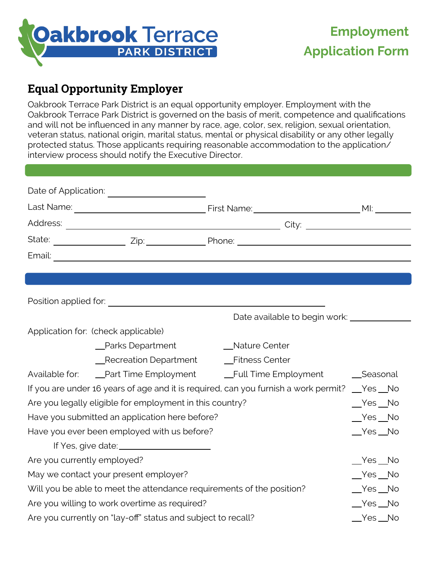

## **Equal Opportunity Employer**

Oakbrook Terrace Park District is an equal opportunity employer. Employment with the Oakbrook Terrace Park District is governed on the basis of merit, competence and qualifications and will not be influenced in any manner by race, age, color, sex, religion, sexual orientation, veteran status, national origin, marital status, mental or physical disability or any other legally protected status. Those applicants requiring reasonable accommodation to the application/ interview process should notify the Executive Director.

| Application for: (check applicable)                                                         |                    |                 |          |
|---------------------------------------------------------------------------------------------|--------------------|-----------------|----------|
|                                                                                             | __Parks Department | __Nature Center |          |
|                                                                                             |                    |                 |          |
|                                                                                             |                    |                 |          |
| If you are under 16 years of age and it is required, can you furnish a work permit?  ges No |                    |                 |          |
| Are you legally eligible for employment in this country?                                    |                    |                 | $Yes$ No |
| Have you submitted an application here before?                                              |                    |                 | $Yes$ No |
| Have you ever been employed with us before?                                                 |                    |                 | $Yes$ No |
|                                                                                             |                    |                 |          |
| Are you currently employed?                                                                 |                    |                 | $Yes$ No |
| May we contact your present employer?                                                       |                    |                 | $Yes$ No |
| Will you be able to meet the attendance requirements of the position?                       |                    |                 | $Yes$ No |
| Are you willing to work overtime as required?                                               |                    |                 | $Yes$ No |
| Are you currently on "lay-off" status and subject to recall?                                |                    |                 | $Yes$ No |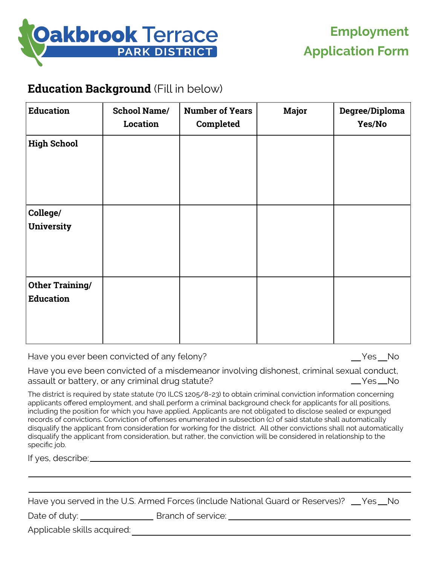

#### **Education Background** (Fill in below)

| <b>Education</b>                           | <b>School Name/</b><br><b>Location</b> | <b>Number of Years</b><br>Completed | <b>Major</b> | Degree/Diploma<br>Yes/No |
|--------------------------------------------|----------------------------------------|-------------------------------------|--------------|--------------------------|
| <b>High School</b>                         |                                        |                                     |              |                          |
| College/<br><b>University</b>              |                                        |                                     |              |                          |
| <b>Other Training/</b><br><b>Education</b> |                                        |                                     |              |                          |

Have you ever been convicted of any felony? The Management of the Ves No

Have you eve been convicted of a misdemeanor involving dishonest, criminal sexual conduct, assault or battery, or any criminal drug statute? All the Manuson Manuson Manuson Manuson Manuson Manuson Manu

The district is required by state statute (70 ILCS 1205/8-23) to obtain criminal conviction information concerning applicants offered employment, and shall perform a criminal background check for applicants for all positions, including the position for which you have applied. Applicants are not obligated to disclose sealed or expunged records of convictions. Conviction of offenses enumerated in subsection (c) of said statute shall automatically disqualify the applicant from consideration for working for the district. All other convictions shall not automatically disqualify the applicant from consideration, but rather, the conviction will be considered in relationship to the specific job.

If yes, describe:

|                             | Have you served in the U.S. Armed Forces (include National Guard or Reserves)? __Yes__No |  |
|-----------------------------|------------------------------------------------------------------------------------------|--|
| Date of duty: $\_\_$        | Branch of service:                                                                       |  |
| Applicable skills acquired: |                                                                                          |  |
|                             |                                                                                          |  |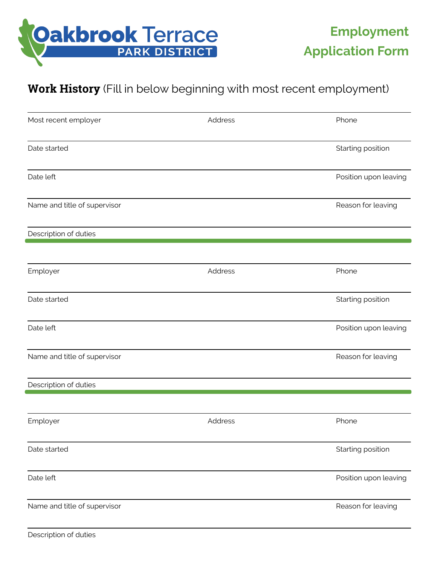

## **Work History** (Fill in below beginning with most recent employment)

| Most recent employer         | Address | Phone                 |
|------------------------------|---------|-----------------------|
| Date started                 |         | Starting position     |
| Date left                    |         | Position upon leaving |
| Name and title of supervisor |         | Reason for leaving    |
| Description of duties        |         |                       |
| Employer                     | Address | Phone                 |
| Date started                 |         | Starting position     |
| Date left                    |         | Position upon leaving |
| Name and title of supervisor |         | Reason for leaving    |
| Description of duties        |         |                       |
| Employer                     | Address | Phone                 |
| Date started                 |         | Starting position     |
| Date left                    |         | Position upon leaving |
| Name and title of supervisor |         | Reason for leaving    |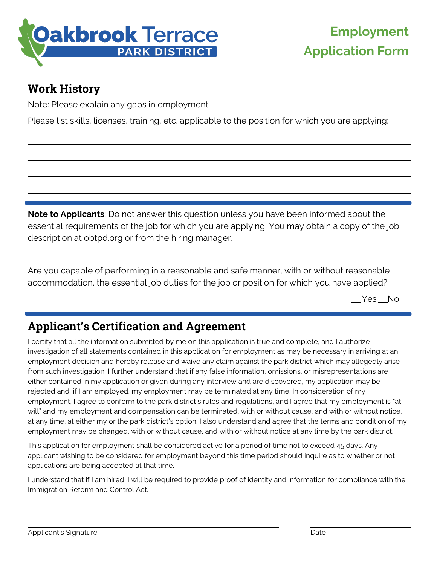

# **Employment Application Form**

## **Work History**

Note: Please explain any gaps in employment

Please list skills, licenses, training, etc. applicable to the position for which you are applying:

**Note to Applicants**: Do not answer this question unless you have been informed about the essential requirements of the job for which you are applying. You may obtain a copy of the job description at obtpd.org or from the hiring manager.

Are you capable of performing in a reasonable and safe manner, with or without reasonable accommodation, the essential job duties for the job or position for which you have applied?

 $Yes$  No

# **Applicant's Certification and Agreement**

I certify that all the information submitted by me on this application is true and complete, and I authorize investigation of all statements contained in this application for employment as may be necessary in arriving at an employment decision and hereby release and waive any claim against the park district which may allegedly arise from such investigation. I further understand that if any false information, omissions, or misrepresentations are either contained in my application or given during any interview and are discovered, my application may be rejected and, if I am employed, my employment may be terminated at any time. In consideration of my employment, I agree to conform to the park district's rules and regulations, and I agree that my employment is "atwill" and my employment and compensation can be terminated, with or without cause, and with or without notice, at any time, at either my or the park district's option. I also understand and agree that the terms and condition of my employment may be changed, with or without cause, and with or without notice at any time by the park district.

This application for employment shall be considered active for a period of time not to exceed 45 days. Any applicant wishing to be considered for employment beyond this time period should inquire as to whether or not applications are being accepted at that time.

I understand that if I am hired, I will be required to provide proof of identity and information for compliance with the Immigration Reform and Control Act.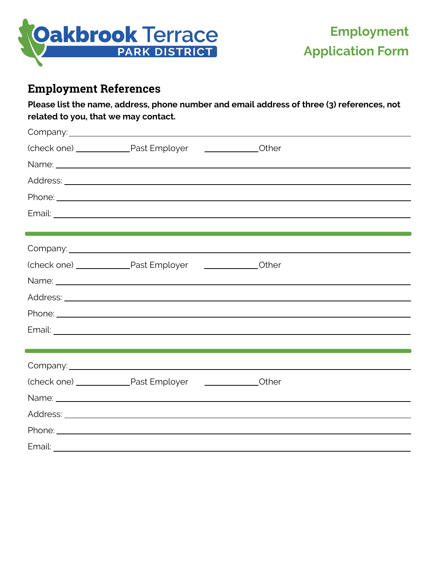

#### **Employment References**

**Please list the name, address, phone number and email address of three (3) references, not related to you, that we may contact.**

| Phone: <u>Andrea Andrea Andrea Andrea Andrea Andrea Andrea Andrea Andrea Andrea Andrea Andrea Andrea Andrea Andrea Andrea Andrea Andrea Andrea Andrea Andrea Andrea Andrea Andrea Andrea Andrea Andrea Andrea Andrea Andrea Andr</u> |       |
|--------------------------------------------------------------------------------------------------------------------------------------------------------------------------------------------------------------------------------------|-------|
|                                                                                                                                                                                                                                      |       |
| the control of the control of the control of the control of the control of the control of                                                                                                                                            |       |
|                                                                                                                                                                                                                                      |       |
|                                                                                                                                                                                                                                      | Other |
| Name: <u>International Account</u> Contract of the Contract of the Contract of the Contract of the Contract of the Contract of the Contract of the Contract of the Contract of the Contract of the Contract of the Contract of the   |       |
|                                                                                                                                                                                                                                      |       |
|                                                                                                                                                                                                                                      |       |
|                                                                                                                                                                                                                                      |       |
|                                                                                                                                                                                                                                      |       |
|                                                                                                                                                                                                                                      |       |
|                                                                                                                                                                                                                                      |       |
| Name: <u>2008 - 2008 - 2008 - 2008 - 2010 - 2010</u> - 2010 - 2010 - 2020 - 2020 - 2020 - 2020 - 2020 - 2020 - 2020 - 20                                                                                                             |       |
|                                                                                                                                                                                                                                      |       |
|                                                                                                                                                                                                                                      |       |
|                                                                                                                                                                                                                                      |       |